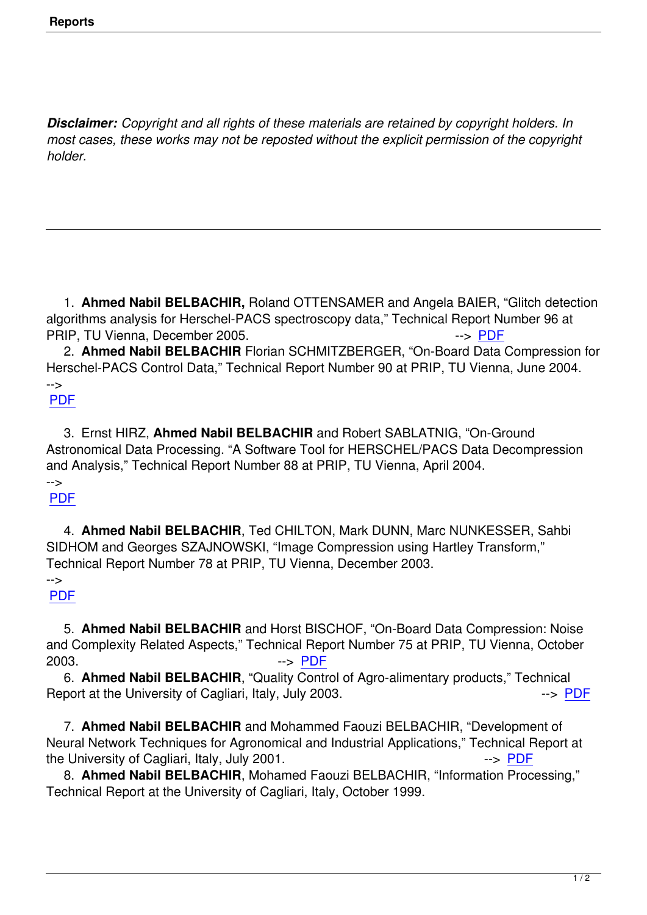*Disclaimer: Copyright and all rights of these materials are retained by copyright holders. In most cases, these works may not be reposted without the explicit permission of the copyright holder.* 

 1. **Ahmed Nabil BELBACHIR,** Roland OTTENSAMER and Angela BAIER, "Glitch detection algorithms analysis for Herschel-PACS spectroscopy data," Technical Report Number 96 at PRIP, TU Vienna, December 2005.

 2. **Ahmed Nabil BELBACHIR** Florian SCHMITZBERGER, "On-Board Data Compression for Herschel-PACS Control Data," Technical Report Number 90 at PRIP, TU Vienna, June 2004. -->

## PDF

 3. Ernst HIRZ, **Ahmed Nabil BELBACHIR** and Robert SABLATNIG, "On-Ground [Astro](PDF/Tr90.pdf)nomical Data Processing. "A Software Tool for HERSCHEL/PACS Data Decompression and Analysis," Technical Report Number 88 at PRIP, TU Vienna, April 2004.

## --> PDF

 4. **Ahmed Nabil BELBACHIR**, Ted CHILTON, Mark DUNN, Marc NUNKESSER, Sahbi [SIDH](PDF/Tr88.pdf)OM and Georges SZAJNOWSKI, "Image Compression using Hartley Transform," Technical Report Number 78 at PRIP, TU Vienna, December 2003.

## -->

## PDF

 5. **Ahmed Nabil BELBACHIR** and Horst BISCHOF, "On-Board Data Compression: Noise [and C](PDF/Tr78.pdf)omplexity Related Aspects," Technical Report Number 75 at PRIP, TU Vienna, October 2003. --> PDF

 6. **Ahmed Nabil BELBACHIR**, "Quality Control of Agro-alimentary products," Technical Report at the University of Cagliari, Italy, July 2003.

 7. **Ahmed Nabil BELBACHIR** and Moh[amme](PDF/Tr75.pdf)d Faouzi BELBACHIR, "Development of Neural Network Techniques for Agronomical and Industrial Applications," Technical Repo[rt at](PDF/unica2003.pdf) the University of Cagliari, Italy, July 2001.

 8. **Ahmed Nabil BELBACHIR**, Mohamed Faouzi BELBACHIR, "Information Processing," Technical Report at the University of Cagliari, Italy, October 1999.